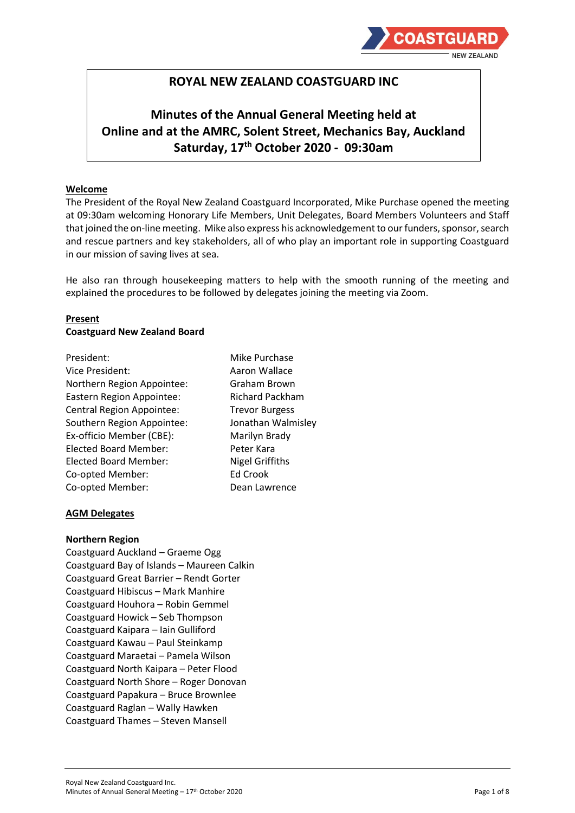

# **ROYAL NEW ZEALAND COASTGUARD INC**

# **Minutes of the Annual General Meeting held at Online and at the AMRC, Solent Street, Mechanics Bay, Auckland Saturday, 17th October 2020 - 09:30am**

#### **Welcome**

The President of the Royal New Zealand Coastguard Incorporated, Mike Purchase opened the meeting at 09:30am welcoming Honorary Life Members, Unit Delegates, Board Members Volunteers and Staff that joined the on-line meeting. Mike also express his acknowledgement to our funders, sponsor, search and rescue partners and key stakeholders, all of who play an important role in supporting Coastguard in our mission of saving lives at sea.

He also ran through housekeeping matters to help with the smooth running of the meeting and explained the procedures to be followed by delegates joining the meeting via Zoom.

## **Present Coastguard New Zealand Board**

**Mike Purchase** Aaron Wallace Graham Brown Richard Packham **Trevor Burgess** Jonathan Walmisley Marilyn Brady Peter Kara **Nigel Griffiths** Ed Crook Dean Lawrence

## **AGM Delegates**

#### **Northern Region**

Coastguard Auckland – Graeme Ogg Coastguard Bay of Islands – Maureen Calkin Coastguard Great Barrier – Rendt Gorter Coastguard Hibiscus – Mark Manhire Coastguard Houhora – Robin Gemmel Coastguard Howick – Seb Thompson Coastguard Kaipara – Iain Gulliford Coastguard Kawau – Paul Steinkamp Coastguard Maraetai – Pamela Wilson Coastguard North Kaipara – Peter Flood Coastguard North Shore – Roger Donovan Coastguard Papakura – Bruce Brownlee Coastguard Raglan – Wally Hawken Coastguard Thames – Steven Mansell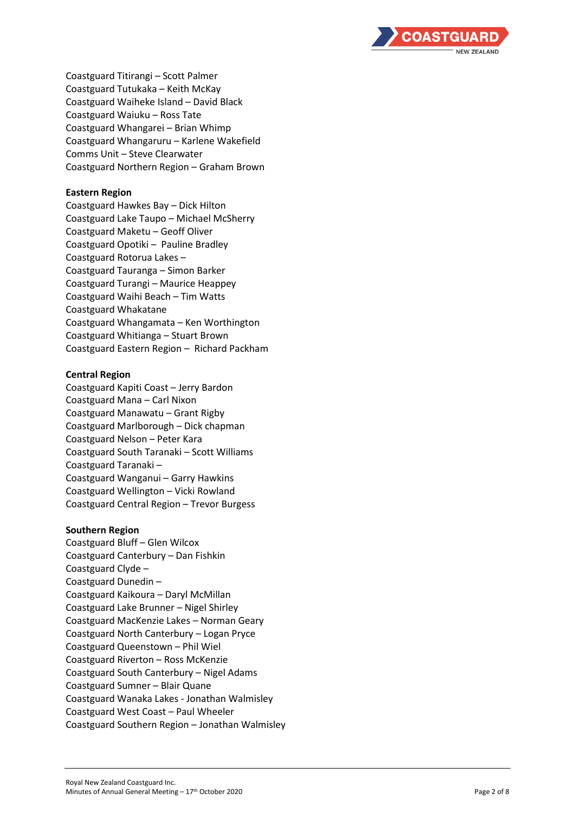

Coastguard Titirangi – Scott Palmer Coastguard Tutukaka – Keith McKay Coastguard Waiheke Island – David Black Coastguard Waiuku – Ross Tate Coastguard Whangarei – Brian Whimp Coastguard Whangaruru – Karlene Wakefield Comms Unit – Steve Clearwater Coastguard Northern Region – Graham Brown

## **Eastern Region**

Coastguard Hawkes Bay – Dick Hilton Coastguard Lake Taupo – Michael McSherry Coastguard Maketu – Geoff Oliver Coastguard Opotiki – Pauline Bradley Coastguard Rotorua Lakes – Coastguard Tauranga – Simon Barker Coastguard Turangi – Maurice Heappey Coastguard Waihi Beach – Tim Watts Coastguard Whakatane Coastguard Whangamata – Ken Worthington Coastguard Whitianga – Stuart Brown Coastguard Eastern Region – Richard Packham

#### **Central Region**

Coastguard Kapiti Coast – Jerry Bardon Coastguard Mana – Carl Nixon Coastguard Manawatu – Grant Rigby Coastguard Marlborough – Dick chapman Coastguard Nelson – Peter Kara Coastguard South Taranaki – Scott Williams Coastguard Taranaki – Coastgua rd Wanganui – Garry Hawkins Coastguard Wellington – Vicki Rowland Coastguard Central Region – Trevor Burgess

#### **Southern Region**

Coastguard Bluff – Glen Wilcox Coastguard Canterbury – Dan Fishkin Coastguard Clyde – Coastguard Dunedin – Coastguard Kaikoura – Daryl McMillan Coastguard Lake Brunner – Nigel Shirley Coastguard MacKenzie Lakes – Norman Geary Coastguard North Canterbury – Logan Pryce Coastguard Queenstown – Phil Wiel Coastguard Riverton – Ross McKenzie Coastguard South Canterbury – Nigel Adams Coastguard Sumner – Blair Quane Coastguard Wanaka Lakes - Jonathan Walmisley Coastguard West Coast – Paul Wheeler Coastguard Southern Region – Jonathan Walmisley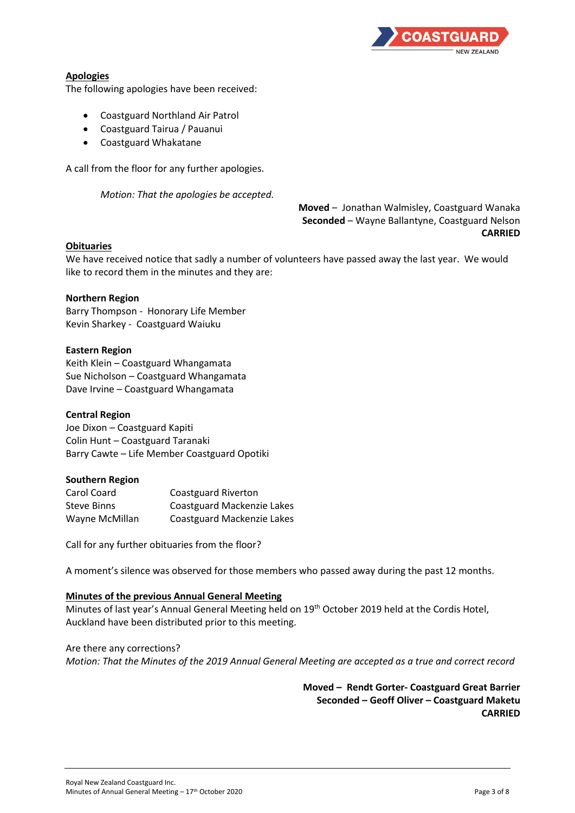

# **Apologies**

The following apologies have been received:

- Coastguard Northland Air Patrol
- Coastguard Tairua / Pauanui
- Coastguard Whakatane

A call from the floor for any further apologies.

*Motion: That the apologies be accepted.*

**Moved** – Jonathan Walmisley, Coastguard Wanaka **Seconded** – Wayne Ballantyne, Coastguard Nelson **CARRIED**

## **Obituaries**

We have received notice that sadly a number of volunteers have passed away the last year. We would like to record them in the minutes and they are:

#### **Northern Region**

Barry Thompson - Honorary Life Member Kevin Sharkey - Coastguard Waiuku

#### **Eastern Region**

Keith Klein – Coastguard Whangamata Sue Nicholson – Coastguard Whangamata Dave Irvine – Coastguard Whangamata

## **Central Region**

Joe Dixon – Coastguard Kapiti Colin Hunt – Coastguard Taranaki Barry Cawte – Life Member Coastguard Opotiki

#### **Southern Region**

| Carol Coard        | Coastguard Riverton        |
|--------------------|----------------------------|
| <b>Steve Binns</b> | Coastguard Mackenzie Lakes |
| Wayne McMillan     | Coastguard Mackenzie Lakes |

Call for any further obituaries from the floor?

A moment's silence was observed for those members who passed away during the past 12 months.

## **Minutes of the previous Annual General Meeting**

Minutes of last year's Annual General Meeting held on 19<sup>th</sup> October 2019 held at the Cordis Hotel, Auckland have been distributed prior to this meeting.

Are there any corrections? *Motion: That the Minutes of the 2019 Annual General Meeting are accepted as a true and correct record* 

> **Moved – Rendt Gorter- Coastguard Great Barrier Seconded – Geoff Oliver – Coastguard Maketu CARRIED**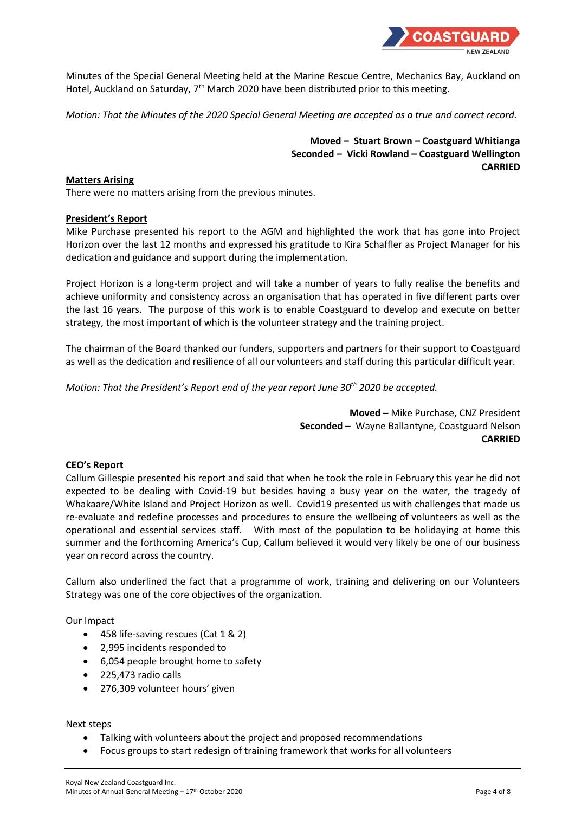

Minutes of the Special General Meeting held at the Marine Rescue Centre, Mechanics Bay, Auckland on Hotel, Auckland on Saturday, 7<sup>th</sup> March 2020 have been distributed prior to this meeting.

*Motion: That the Minutes of the 2020 Special General Meeting are accepted as a true and correct record.*

**Moved – Stuart Brown – Coastguard Whitianga Seconded – Vicki Rowland – Coastguard Wellington CARRIED**

## **Matters Arising**

There were no matters arising from the previous minutes.

## **President's Report**

Mike Purchase presented his report to the AGM and highlighted the work that has gone into Project Horizon over the last 12 months and expressed his gratitude to Kira Schaffler as Project Manager for his dedication and guidance and support during the implementation.

Project Horizon is a long-term project and will take a number of years to fully realise the benefits and achieve uniformity and consistency across an organisation that has operated in five different parts over the last 16 years. The purpose of this work is to enable Coastguard to develop and execute on better strategy, the most important of which is the volunteer strategy and the training project.

The chairman of the Board thanked our funders, supporters and partners for their support to Coastguard as well as the dedication and resilience of all our volunteers and staff during this particular difficult year.

*Motion: That the President's Report end of the year report June 30th 2020 be accepted.*

**Moved** – Mike Purchase, CNZ President **Seconded** – Wayne Ballantyne, Coastguard Nelson **CARRIED**

## **CEO's Report**

Callum Gillespie presented his report and said that when he took the role in February this year he did not expected to be dealing with Covid-19 but besides having a busy year on the water, the tragedy of Whakaare/White Island and Project Horizon as well. Covid19 presented us with challenges that made us re-evaluate and redefine processes and procedures to ensure the wellbeing of volunteers as well as the operational and essential services staff. With most of the population to be holidaying at home this summer and the forthcoming America's Cup, Callum believed it would very likely be one of our business year on record across the country.

Callum also underlined the fact that a programme of work, training and delivering on our Volunteers Strategy was one of the core objectives of the organization.

Our Impact

- 458 life-saving rescues (Cat 1 & 2)
- 2,995 incidents responded to
- 6,054 people brought home to safety
- 225,473 radio calls
- 276,309 volunteer hours' given

Next steps

- Talking with volunteers about the project and proposed recommendations
- Focus groups to start redesign of training framework that works for all volunteers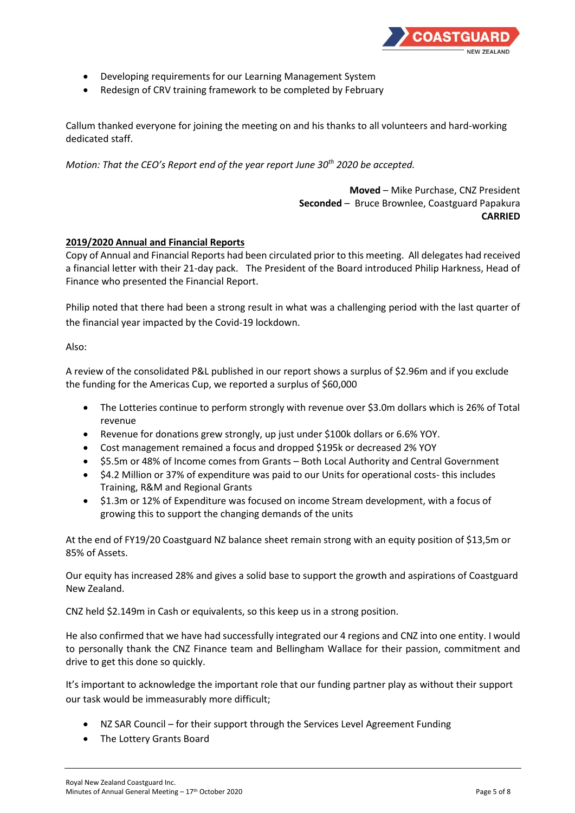

- Developing requirements for our Learning Management System
- Redesign of CRV training framework to be completed by February

Callum thanked everyone for joining the meeting on and his thanks to all volunteers and hard-working dedicated staff.

*Motion: That the CEO's Report end of the year report June 30th 2020 be accepted.*

**Moved** – Mike Purchase, CNZ President **Seconded** – Bruce Brownlee, Coastguard Papakura **CARRIED**

## **2019/2020 Annual and Financial Reports**

Copy of Annual and Financial Reports had been circulated prior to this meeting. All delegates had received a financial letter with their 21-day pack. The President of the Board introduced Philip Harkness, Head of Finance who presented the Financial Report.

Philip noted that there had been a strong result in what was a challenging period with the last quarter of the financial year impacted by the Covid-19 lockdown.

#### Also:

A review of the consolidated P&L published in our report shows a surplus of \$2.96m and if you exclude the funding for the Americas Cup, we reported a surplus of \$60,000

- The Lotteries continue to perform strongly with revenue over \$3.0m dollars which is 26% of Total revenue
- Revenue for donations grew strongly, up just under \$100k dollars or 6.6% YOY.
- Cost management remained a focus and dropped \$195k or decreased 2% YOY
- \$5.5m or 48% of Income comes from Grants Both Local Authority and Central Government
- \$4.2 Million or 37% of expenditure was paid to our Units for operational costs- this includes Training, R&M and Regional Grants
- \$1.3m or 12% of Expenditure was focused on income Stream development, with a focus of growing this to support the changing demands of the units

At the end of FY19/20 Coastguard NZ balance sheet remain strong with an equity position of \$13,5m or 85% of Assets.

Our equity has increased 28% and gives a solid base to support the growth and aspirations of Coastguard New Zealand.

CNZ held \$2.149m in Cash or equivalents, so this keep us in a strong position.

He also confirmed that we have had successfully integrated our 4 regions and CNZ into one entity. I would to personally thank the CNZ Finance team and Bellingham Wallace for their passion, commitment and drive to get this done so quickly.

It's important to acknowledge the important role that our funding partner play as without their support our task would be immeasurably more difficult;

- NZ SAR Council for their support through the Services Level Agreement Funding
- The Lottery Grants Board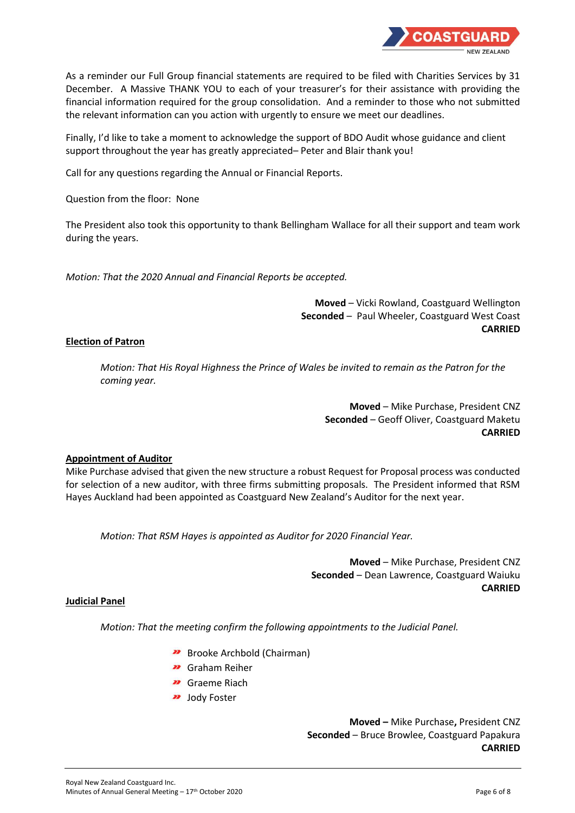

As a reminder our Full Group financial statements are required to be filed with Charities Services by 31 December. A Massive THANK YOU to each of your treasurer's for their assistance with providing the financial information required for the group consolidation. And a reminder to those who not submitted the relevant information can you action with urgently to ensure we meet our deadlines.

Finally, I'd like to take a moment to acknowledge the support of BDO Audit whose guidance and client support throughout the year has greatly appreciated– Peter and Blair thank you!

Call for any questions regarding the Annual or Financial Reports.

Question from the floor: None

The President also took this opportunity to thank Bellingham Wallace for all their support and team work during the years.

*Motion: That the 2020 Annual and Financial Reports be accepted.*

**Moved** – Vicki Rowland, Coastguard Wellington **Seconded** – Paul Wheeler, Coastguard West Coast **CARRIED**

## **Election of Patron**

*Motion: That His Royal Highness the Prince of Wales be invited to remain as the Patron for the coming year.*

> **Moved** – Mike Purchase, President CNZ **Seconded** – Geoff Oliver, Coastguard Maketu **CARRIED**

## **Appointment of Auditor**

Mike Purchase advised that given the new structure a robust Request for Proposal process was conducted for selection of a new auditor, with three firms submitting proposals. The President informed that RSM Hayes Auckland had been appointed as Coastguard New Zealand's Auditor for the next year.

*Motion: That RSM Hayes is appointed as Auditor for 2020 Financial Year.*

**Moved** – Mike Purchase, President CNZ **Seconded** – Dean Lawrence, Coastguard Waiuku **CARRIED**

## **Judicial Panel**

*Motion: That the meeting confirm the following appointments to the Judicial Panel.*

- **Brooke Archbold (Chairman)**
- Graham Reiher
- **22** Graeme Riach
- **22** Jody Foster

**Moved –** Mike Purchase**,** President CNZ **Seconded** – Bruce Browlee, Coastguard Papakura **CARRIED**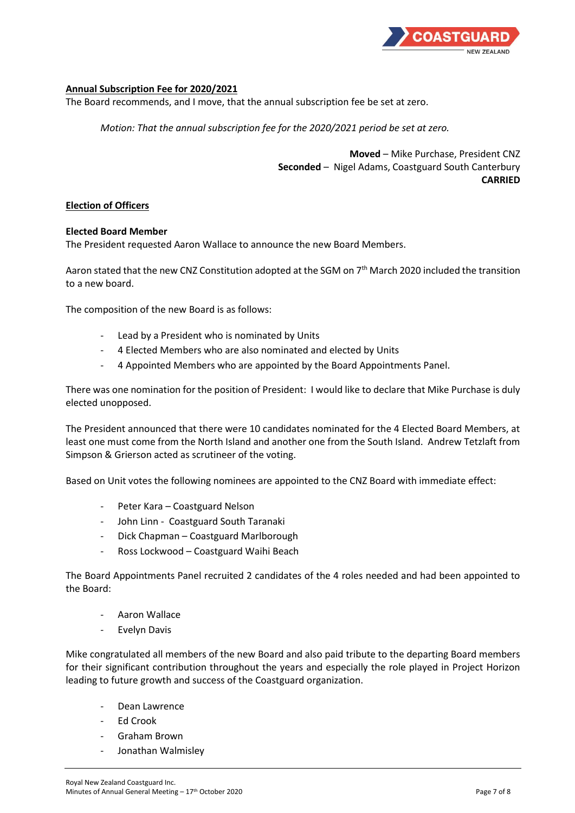

## **Annual Subscription Fee for 2020/2021**

The Board recommends, and I move, that the annual subscription fee be set at zero.

*Motion: That the annual subscription fee for the 2020/2021 period be set at zero.*

**Moved** – Mike Purchase, President CNZ **Seconded** – Nigel Adams, Coastguard South Canterbury **CARRIED**

## **Election of Officers**

#### **Elected Board Member**

The President requested Aaron Wallace to announce the new Board Members.

Aaron stated that the new CNZ Constitution adopted at the SGM on 7<sup>th</sup> March 2020 included the transition to a new board.

The composition of the new Board is as follows:

- Lead by a President who is nominated by Units
- 4 Elected Members who are also nominated and elected by Units
- 4 Appointed Members who are appointed by the Board Appointments Panel.

There was one nomination for the position of President: I would like to declare that Mike Purchase is duly elected unopposed.

The President announced that there were 10 candidates nominated for the 4 Elected Board Members, at least one must come from the North Island and another one from the South Island. Andrew Tetzlaft from Simpson & Grierson acted as scrutineer of the voting.

Based on Unit votes the following nominees are appointed to the CNZ Board with immediate effect:

- Peter Kara Coastguard Nelson
- John Linn Coastguard South Taranaki
- Dick Chapman Coastguard Marlborough
- Ross Lockwood Coastguard Waihi Beach

The Board Appointments Panel recruited 2 candidates of the 4 roles needed and had been appointed to the Board:

- Aaron Wallace
- Evelyn Davis

Mike congratulated all members of the new Board and also paid tribute to the departing Board members for their significant contribution throughout the years and especially the role played in Project Horizon leading to future growth and success of the Coastguard organization.

- Dean Lawrence
- Ed Crook
- Graham Brown
- Jonathan Walmisley